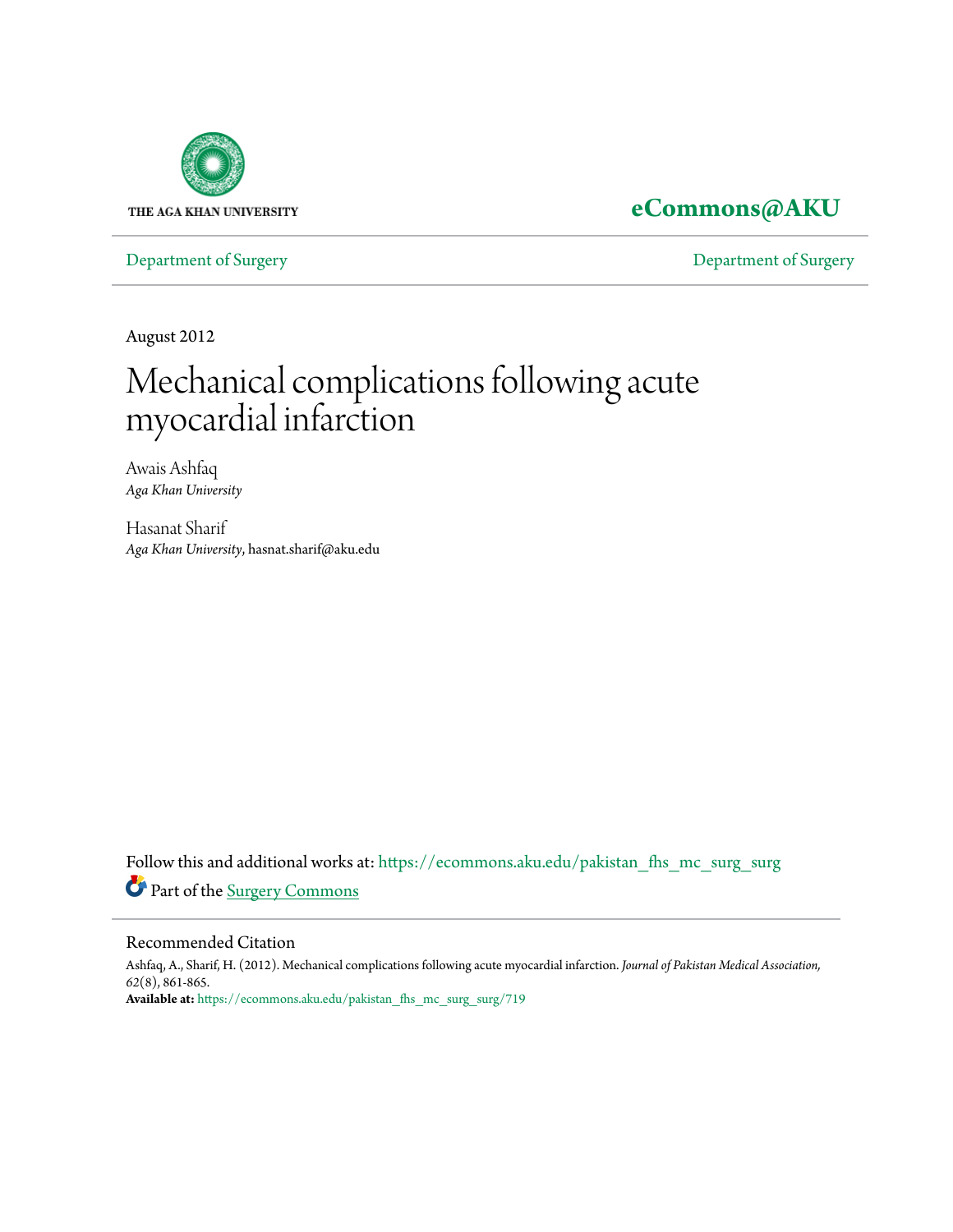

## **[eCommons@AKU](https://ecommons.aku.edu?utm_source=ecommons.aku.edu%2Fpakistan_fhs_mc_surg_surg%2F719&utm_medium=PDF&utm_campaign=PDFCoverPages)**

[Department of Surgery](https://ecommons.aku.edu/pakistan_fhs_mc_surg_surg?utm_source=ecommons.aku.edu%2Fpakistan_fhs_mc_surg_surg%2F719&utm_medium=PDF&utm_campaign=PDFCoverPages) [Department of Surgery](https://ecommons.aku.edu/pakistan_fhs_mc_surg?utm_source=ecommons.aku.edu%2Fpakistan_fhs_mc_surg_surg%2F719&utm_medium=PDF&utm_campaign=PDFCoverPages)

August 2012

# Mechanical complications following acute myocardial infarction

Awais Ashfaq *Aga Khan University*

Hasanat Sharif *Aga Khan University*, hasnat.sharif@aku.edu

Follow this and additional works at: [https://ecommons.aku.edu/pakistan\\_fhs\\_mc\\_surg\\_surg](https://ecommons.aku.edu/pakistan_fhs_mc_surg_surg?utm_source=ecommons.aku.edu%2Fpakistan_fhs_mc_surg_surg%2F719&utm_medium=PDF&utm_campaign=PDFCoverPages) Part of the [Surgery Commons](http://network.bepress.com/hgg/discipline/706?utm_source=ecommons.aku.edu%2Fpakistan_fhs_mc_surg_surg%2F719&utm_medium=PDF&utm_campaign=PDFCoverPages)

#### Recommended Citation

Ashfaq, A., Sharif, H. (2012). Mechanical complications following acute myocardial infarction. *Journal of Pakistan Medical Association, 62*(8), 861-865. **Available at:** [https://ecommons.aku.edu/pakistan\\_fhs\\_mc\\_surg\\_surg/719](https://ecommons.aku.edu/pakistan_fhs_mc_surg_surg/719)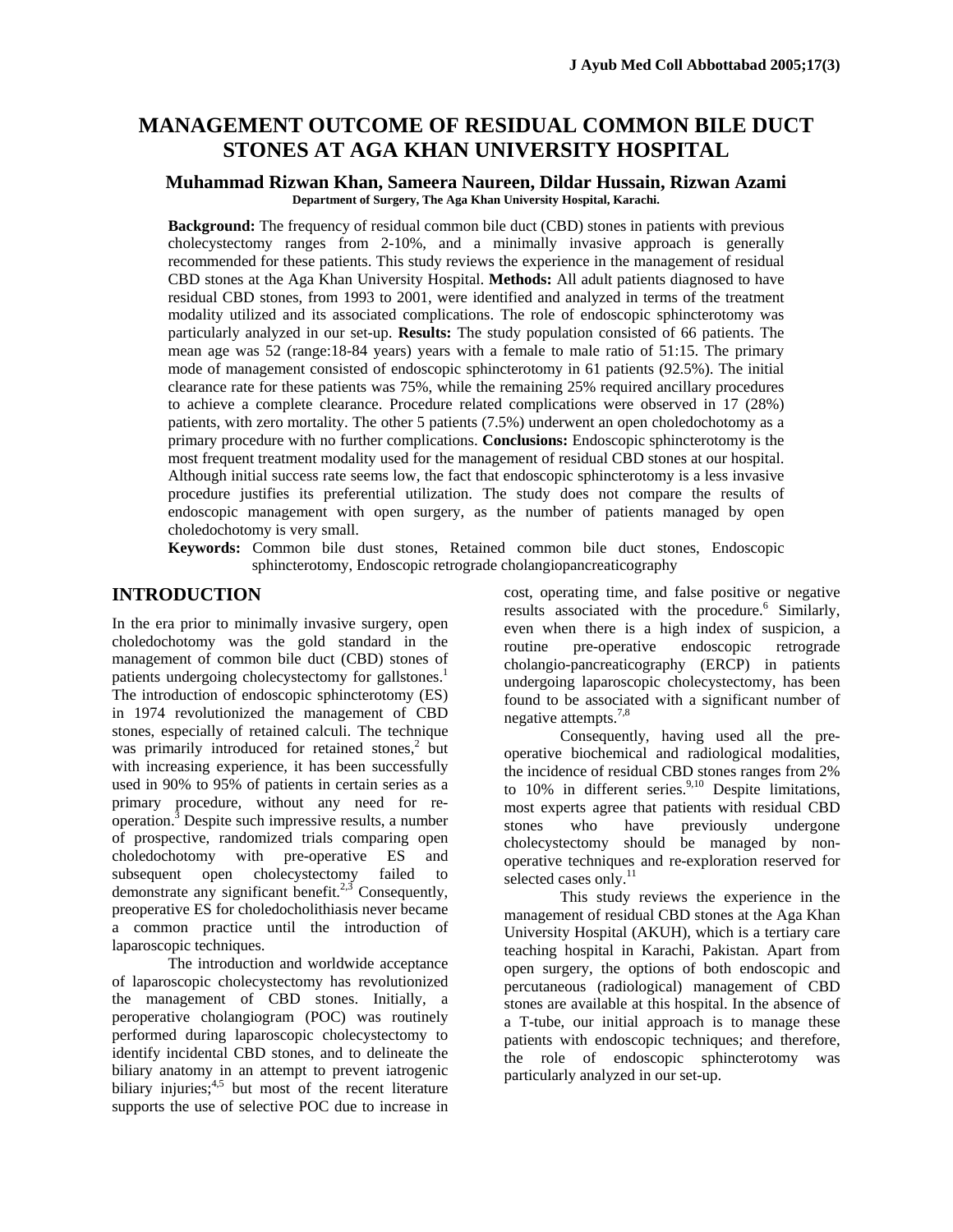### **MANAGEMENT OUTCOME OF RESIDUAL COMMON BILE DUCT STONES AT AGA KHAN UNIVERSITY HOSPITAL**

#### **Muhammad Rizwan Khan, Sameera Naureen, Dildar Hussain, Rizwan Azami Department of Surgery, The Aga Khan University Hospital, Karachi.**

**Background:** The frequency of residual common bile duct (CBD) stones in patients with previous cholecystectomy ranges from 2-10%, and a minimally invasive approach is generally recommended for these patients. This study reviews the experience in the management of residual CBD stones at the Aga Khan University Hospital. **Methods:** All adult patients diagnosed to have residual CBD stones, from 1993 to 2001, were identified and analyzed in terms of the treatment modality utilized and its associated complications. The role of endoscopic sphincterotomy was particularly analyzed in our set-up. **Results:** The study population consisted of 66 patients. The mean age was 52 (range:18-84 years) years with a female to male ratio of 51:15. The primary mode of management consisted of endoscopic sphincterotomy in 61 patients (92.5%). The initial clearance rate for these patients was 75%, while the remaining 25% required ancillary procedures to achieve a complete clearance. Procedure related complications were observed in 17 (28%) patients, with zero mortality. The other 5 patients (7.5%) underwent an open choledochotomy as a primary procedure with no further complications. **Conclusions:** Endoscopic sphincterotomy is the most frequent treatment modality used for the management of residual CBD stones at our hospital. Although initial success rate seems low, the fact that endoscopic sphincterotomy is a less invasive procedure justifies its preferential utilization. The study does not compare the results of endoscopic management with open surgery, as the number of patients managed by open choledochotomy is very small.

**Keywords:** Common bile dust stones, Retained common bile duct stones, Endoscopic sphincterotomy, Endoscopic retrograde cholangiopancreaticography

#### **INTRODUCTION**

In the era prior to minimally invasive surgery, open choledochotomy was the gold standard in the management of common bile duct (CBD) stones of patients undergoing cholecystectomy for gallstones.<sup>1</sup> The introduction of endoscopic sphincterotomy (ES) in 1974 revolutionized the management of CBD stones, especially of retained calculi. The technique was primarily introduced for retained stones,<sup>2</sup> but with increasing experience, it has been successfully used in 90% to 95% of patients in certain series as a primary procedure, without any need for reoperation. $3$  Despite such impressive results, a number of prospective, randomized trials comparing open choledochotomy with pre-operative ES and subsequent open cholecystectomy failed to demonstrate any significant benefit.<sup>2,3</sup> Consequently, preoperative ES for choledocholithiasis never became a common practice until the introduction of laparoscopic techniques.

The introduction and worldwide acceptance of laparoscopic cholecystectomy has revolutionized the management of CBD stones. Initially, a peroperative cholangiogram (POC) was routinely performed during laparoscopic cholecystectomy to identify incidental CBD stones, and to delineate the biliary anatomy in an attempt to prevent iatrogenic biliary injuries; $4,5$  but most of the recent literature supports the use of selective POC due to increase in

cost, operating time, and false positive or negative results associated with the procedure.<sup>6</sup> Similarly, even when there is a high index of suspicion, a routine pre-operative endoscopic retrograde cholangio-pancreaticography (ERCP) in patients undergoing laparoscopic cholecystectomy, has been found to be associated with a significant number of negative attempts.<sup>7,8</sup>

Consequently, having used all the preoperative biochemical and radiological modalities, the incidence of residual CBD stones ranges from 2% to  $10\%$  in different series.<sup>9,10</sup> Despite limitations, most experts agree that patients with residual CBD stones who have previously undergone cholecystectomy should be managed by nonoperative techniques and re-exploration reserved for selected cases only.<sup>11</sup>

This study reviews the experience in the management of residual CBD stones at the Aga Khan University Hospital (AKUH), which is a tertiary care teaching hospital in Karachi, Pakistan. Apart from open surgery, the options of both endoscopic and percutaneous (radiological) management of CBD stones are available at this hospital. In the absence of a T-tube, our initial approach is to manage these patients with endoscopic techniques; and therefore, the role of endoscopic sphincterotomy was particularly analyzed in our set-up.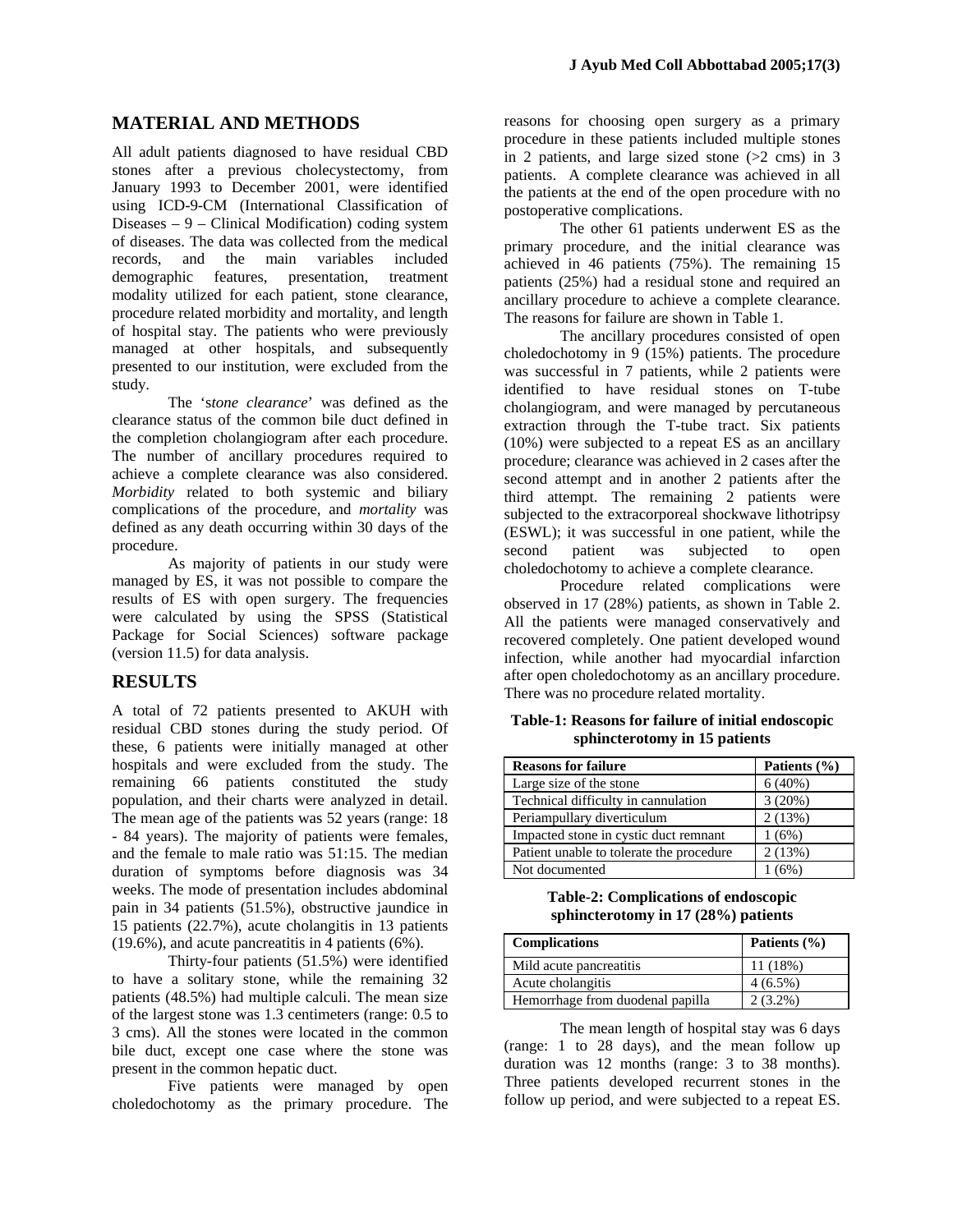#### **MATERIAL AND METHODS**

All adult patients diagnosed to have residual CBD stones after a previous cholecystectomy, from January 1993 to December 2001, were identified using ICD-9-CM (International Classification of Diseases – 9 – Clinical Modification) coding system of diseases. The data was collected from the medical records, and the main variables included demographic features, presentation, treatment modality utilized for each patient, stone clearance, procedure related morbidity and mortality, and length of hospital stay. The patients who were previously managed at other hospitals, and subsequently presented to our institution, were excluded from the study.

The 's*tone clearance*' was defined as the clearance status of the common bile duct defined in the completion cholangiogram after each procedure. The number of ancillary procedures required to achieve a complete clearance was also considered. *Morbidity* related to both systemic and biliary complications of the procedure, and *mortality* was defined as any death occurring within 30 days of the procedure.

As majority of patients in our study were managed by ES, it was not possible to compare the results of ES with open surgery. The frequencies were calculated by using the SPSS (Statistical Package for Social Sciences) software package (version 11.5) for data analysis.

#### **RESULTS**

A total of 72 patients presented to AKUH with residual CBD stones during the study period. Of these, 6 patients were initially managed at other hospitals and were excluded from the study. The remaining 66 patients constituted the study population, and their charts were analyzed in detail. The mean age of the patients was 52 years (range: 18 - 84 years). The majority of patients were females, and the female to male ratio was 51:15. The median duration of symptoms before diagnosis was 34 weeks. The mode of presentation includes abdominal pain in 34 patients (51.5%), obstructive jaundice in 15 patients (22.7%), acute cholangitis in 13 patients (19.6%), and acute pancreatitis in 4 patients (6%).

Thirty-four patients (51.5%) were identified to have a solitary stone, while the remaining 32 patients (48.5%) had multiple calculi. The mean size of the largest stone was 1.3 centimeters (range: 0.5 to 3 cms). All the stones were located in the common bile duct, except one case where the stone was present in the common hepatic duct.

Five patients were managed by open choledochotomy as the primary procedure. The

reasons for choosing open surgery as a primary procedure in these patients included multiple stones in 2 patients, and large sized stone  $(>2$  cms) in 3 patients. A complete clearance was achieved in all the patients at the end of the open procedure with no postoperative complications.

The other 61 patients underwent ES as the primary procedure, and the initial clearance was achieved in 46 patients (75%). The remaining 15 patients (25%) had a residual stone and required an ancillary procedure to achieve a complete clearance. The reasons for failure are shown in Table 1.

The ancillary procedures consisted of open choledochotomy in 9 (15%) patients. The procedure was successful in 7 patients, while 2 patients were identified to have residual stones on T-tube cholangiogram, and were managed by percutaneous extraction through the T-tube tract. Six patients (10%) were subjected to a repeat ES as an ancillary procedure; clearance was achieved in 2 cases after the second attempt and in another 2 patients after the third attempt. The remaining 2 patients were subjected to the extracorporeal shockwave lithotripsy (ESWL); it was successful in one patient, while the second patient was subjected to open choledochotomy to achieve a complete clearance.

Procedure related complications were observed in 17 (28%) patients, as shown in Table 2. All the patients were managed conservatively and recovered completely. One patient developed wound infection, while another had myocardial infarction after open choledochotomy as an ancillary procedure. There was no procedure related mortality.

**Table-1: Reasons for failure of initial endoscopic sphincterotomy in 15 patients** 

| <b>Reasons for failure</b>               | Patients (%) |
|------------------------------------------|--------------|
| Large size of the stone                  | 6(40%)       |
| Technical difficulty in cannulation      | 3(20%)       |
| Periampullary diverticulum               | 2(13%)       |
| Impacted stone in cystic duct remnant    | 1(6%)        |
| Patient unable to tolerate the procedure | 2(13%)       |
| Not documented                           | (6%)         |

**Table-2: Complications of endoscopic sphincterotomy in 17 (28%) patients** 

| <b>Complications</b>             | Patients $(\% )$ |
|----------------------------------|------------------|
| Mild acute pancreatitis          | 11(18%)          |
| Acute cholangitis                | $4(6.5\%)$       |
| Hemorrhage from duodenal papilla | $2(3.2\%)$       |

The mean length of hospital stay was 6 days (range: 1 to 28 days), and the mean follow up duration was 12 months (range: 3 to 38 months). Three patients developed recurrent stones in the follow up period, and were subjected to a repeat ES.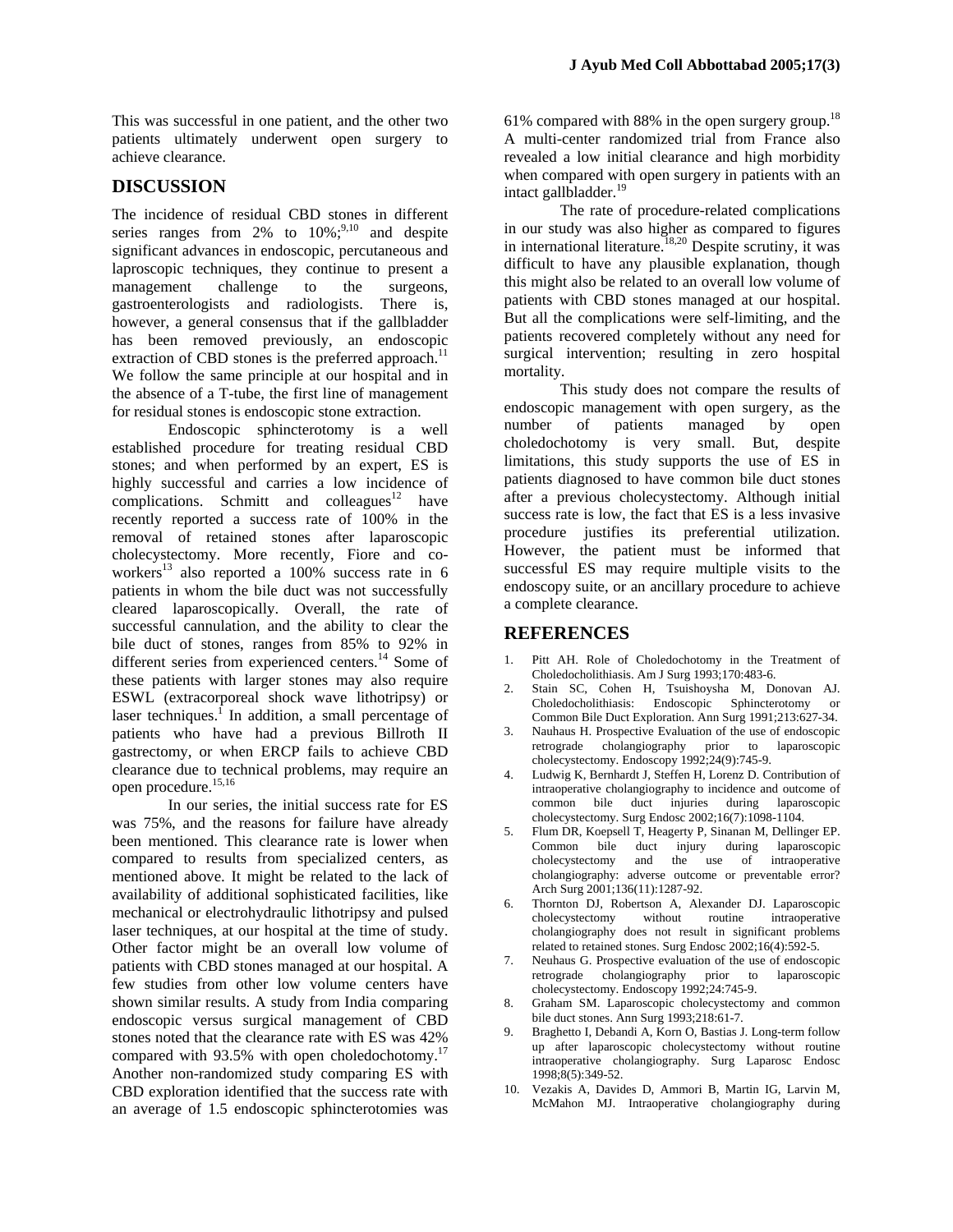This was successful in one patient, and the other two patients ultimately underwent open surgery to achieve clearance.

#### **DISCUSSION**

The incidence of residual CBD stones in different series ranges from 2% to  $10\%$ ;<sup>9,10</sup> and despite significant advances in endoscopic, percutaneous and laproscopic techniques, they continue to present a management challenge to the surgeons, gastroenterologists and radiologists. There is, however, a general consensus that if the gallbladder has been removed previously, an endoscopic extraction of CBD stones is the preferred approach.<sup>11</sup> We follow the same principle at our hospital and in the absence of a T-tube, the first line of management for residual stones is endoscopic stone extraction.

Endoscopic sphincterotomy is a well established procedure for treating residual CBD stones; and when performed by an expert, ES is highly successful and carries a low incidence of complications. Schmitt and colleagues<sup>12</sup> have recently reported a success rate of 100% in the removal of retained stones after laparoscopic cholecystectomy. More recently, Fiore and coworkers<sup>13</sup> also reported a 100% success rate in  $6$ patients in whom the bile duct was not successfully cleared laparoscopically. Overall, the rate of successful cannulation, and the ability to clear the bile duct of stones, ranges from 85% to 92% in different series from experienced centers.<sup>14</sup> Some of these patients with larger stones may also require ESWL (extracorporeal shock wave lithotripsy) or laser techniques.<sup> $\int$ </sup> In addition, a small percentage of patients who have had a previous Billroth II gastrectomy, or when ERCP fails to achieve CBD clearance due to technical problems, may require an open procedure.<sup>15,16</sup>

In our series, the initial success rate for ES was 75%, and the reasons for failure have already been mentioned. This clearance rate is lower when compared to results from specialized centers, as mentioned above. It might be related to the lack of availability of additional sophisticated facilities, like mechanical or electrohydraulic lithotripsy and pulsed laser techniques, at our hospital at the time of study. Other factor might be an overall low volume of patients with CBD stones managed at our hospital. A few studies from other low volume centers have shown similar results. A study from India comparing endoscopic versus surgical management of CBD stones noted that the clearance rate with ES was 42% compared with 93.5% with open choledochotomy.<sup>17</sup> Another non-randomized study comparing ES with CBD exploration identified that the success rate with an average of 1.5 endoscopic sphincterotomies was

61% compared with 88% in the open surgery group.<sup>18</sup> A multi-center randomized trial from France also revealed a low initial clearance and high morbidity when compared with open surgery in patients with an intact gallbladder. $19$ 

The rate of procedure-related complications in our study was also higher as compared to figures in international literature.<sup>18,20</sup> Despite scrutiny, it was difficult to have any plausible explanation, though this might also be related to an overall low volume of patients with CBD stones managed at our hospital. But all the complications were self-limiting, and the patients recovered completely without any need for surgical intervention; resulting in zero hospital mortality.

This study does not compare the results of endoscopic management with open surgery, as the number of patients managed by open choledochotomy is very small. But, despite limitations, this study supports the use of ES in patients diagnosed to have common bile duct stones after a previous cholecystectomy. Although initial success rate is low, the fact that ES is a less invasive procedure justifies its preferential utilization. However, the patient must be informed that successful ES may require multiple visits to the endoscopy suite, or an ancillary procedure to achieve a complete clearance.

#### **REFERENCES**

- 1. Pitt AH. Role of Choledochotomy in the Treatment of Choledocholithiasis. Am J Surg 1993;170:483-6.
- 2. Stain SC, Cohen H, Tsuishoysha M, Donovan AJ. Choledocholithiasis: Endoscopic Sphincterotomy or Common Bile Duct Exploration. Ann Surg 1991;213:627-34.
- 3. Nauhaus H. Prospective Evaluation of the use of endoscopic retrograde cholangiography prior to laparoscopic cholecystectomy. Endoscopy 1992;24(9):745-9.
- 4. Ludwig K, Bernhardt J, Steffen H, Lorenz D. Contribution of intraoperative cholangiography to incidence and outcome of common bile duct injuries during laparoscopic cholecystectomy. Surg Endosc 2002;16(7):1098-1104.
- 5. Flum DR, Koepsell T, Heagerty P, Sinanan M, Dellinger EP. Common bile duct injury during laparoscopic cholecystectomy and the use of intraoperative cholangiography: adverse outcome or preventable error? Arch Surg 2001;136(11):1287-92.
- 6. Thornton DJ, Robertson A, Alexander DJ. Laparoscopic cholecystectomy without routine intraoperative cholangiography does not result in significant problems related to retained stones. Surg Endosc 2002;16(4):592-5.
- 7. Neuhaus G. Prospective evaluation of the use of endoscopic retrograde cholangiography prior to laparoscopic cholecystectomy. Endoscopy 1992;24:745-9.
- 8. Graham SM. Laparoscopic cholecystectomy and common bile duct stones. Ann Surg 1993;218:61-7.
- 9. Braghetto I, Debandi A, Korn O, Bastias J. Long-term follow up after laparoscopic cholecystectomy without routine intraoperative cholangiography. Surg Laparosc Endosc 1998;8(5):349-52.
- 10. Vezakis A, Davides D, Ammori B, Martin IG, Larvin M, McMahon MJ. Intraoperative cholangiography during